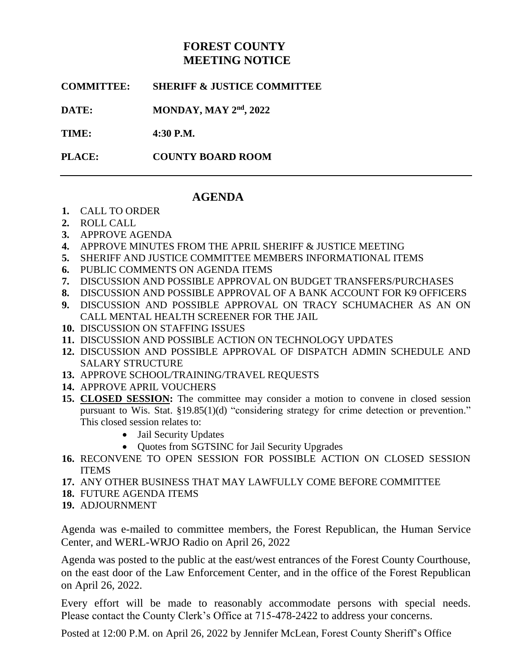# **FOREST COUNTY MEETING NOTICE**

**COMMITTEE: SHERIFF & JUSTICE COMMITTEE**

**DATE: MONDAY, MAY 2<sup>nd</sup>, 2022** 

**TIME: 4:30 P.M.**

**PLACE: COUNTY BOARD ROOM**

## **AGENDA**

- **1.** CALL TO ORDER
- **2.** ROLL CALL
- **3.** APPROVE AGENDA
- **4.** APPROVE MINUTES FROM THE APRIL SHERIFF & JUSTICE MEETING
- **5.** SHERIFF AND JUSTICE COMMITTEE MEMBERS INFORMATIONAL ITEMS
- **6.** PUBLIC COMMENTS ON AGENDA ITEMS
- **7.** DISCUSSION AND POSSIBLE APPROVAL ON BUDGET TRANSFERS/PURCHASES
- **8.** DISCUSSION AND POSSIBLE APPROVAL OF A BANK ACCOUNT FOR K9 OFFICERS
- **9.** DISCUSSION AND POSSIBLE APPROVAL ON TRACY SCHUMACHER AS AN ON CALL MENTAL HEALTH SCREENER FOR THE JAIL
- **10.** DISCUSSION ON STAFFING ISSUES
- **11.** DISCUSSION AND POSSIBLE ACTION ON TECHNOLOGY UPDATES
- **12.** DISCUSSION AND POSSIBLE APPROVAL OF DISPATCH ADMIN SCHEDULE AND SALARY STRUCTURE
- **13.** APPROVE SCHOOL/TRAINING/TRAVEL REQUESTS
- **14.** APPROVE APRIL VOUCHERS
- **15. CLOSED SESSION:** The committee may consider a motion to convene in closed session pursuant to Wis. Stat. §19.85(1)(d) "considering strategy for crime detection or prevention." This closed session relates to:
	- Jail Security Updates
	- Quotes from SGTSINC for Jail Security Upgrades
- **16.** RECONVENE TO OPEN SESSION FOR POSSIBLE ACTION ON CLOSED SESSION ITEMS
- **17.** ANY OTHER BUSINESS THAT MAY LAWFULLY COME BEFORE COMMITTEE
- **18.** FUTURE AGENDA ITEMS
- **19.** ADJOURNMENT

Agenda was e-mailed to committee members, the Forest Republican, the Human Service Center, and WERL-WRJO Radio on April 26, 2022

Agenda was posted to the public at the east/west entrances of the Forest County Courthouse, on the east door of the Law Enforcement Center, and in the office of the Forest Republican on April 26, 2022.

Every effort will be made to reasonably accommodate persons with special needs. Please contact the County Clerk's Office at 715-478-2422 to address your concerns.

Posted at 12:00 P.M. on April 26, 2022 by Jennifer McLean, Forest County Sheriff's Office